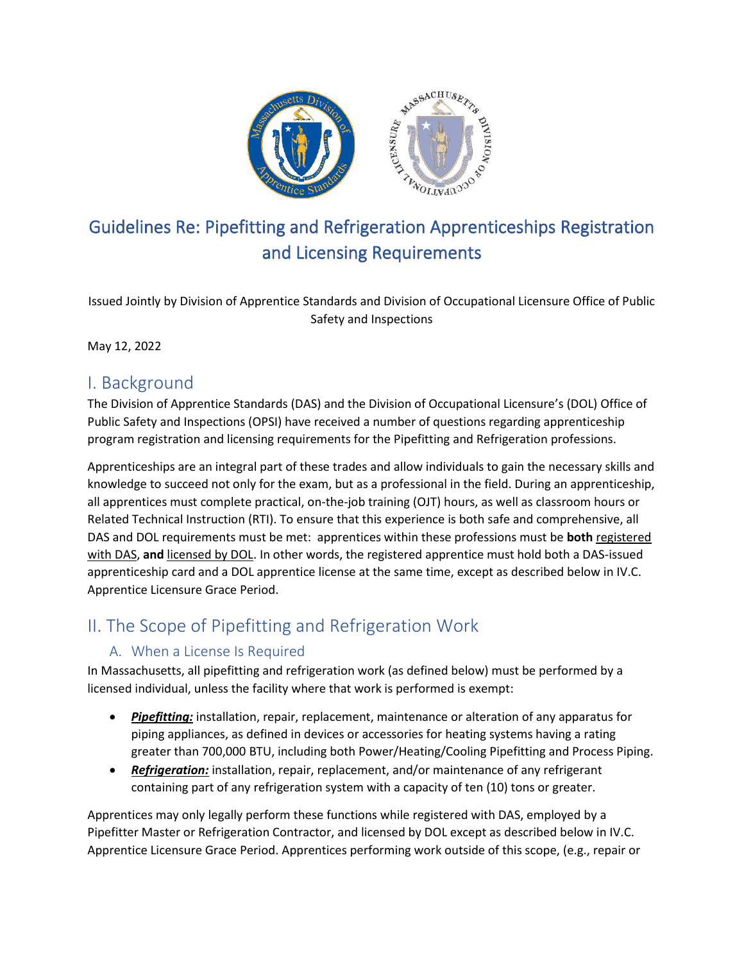

# and Licensing Requirements

Issued Jointly by Division of Apprentice Standards and Division of Occupational Licensure Office of Public Safety and Inspections

May 12, 2022

## I. Background

The Division of Apprentice Standards (DAS) and the Division of Occupational Licensure's (DOL) Office of Public Safety and Inspections (OPSI) have received a number of questions regarding apprenticeship program registration and licensing requirements for the Pipefitting and Refrigeration professions.

Apprenticeships are an integral part of these trades and allow individuals to gain the necessary skills and knowledge to succeed not only for the exam, but as a professional in the field. During an apprenticeship, all apprentices must complete practical, on-the-job training (OJT) hours, as well as classroom hours or Related Technical Instruction (RTI). To ensure that this experience is both safe and comprehensive, all DAS and DOL requirements must be met: apprentices within these professions must be **both** registered with DAS, **and** licensed by DOL. In other words, the registered apprentice must hold both a DAS-issued apprenticeship card and a DOL apprentice license at the same time, except as described below in IV.C. Apprentice Licensure Grace Period.

## II. The Scope of Pipefitting and Refrigeration Work

## A. When a License Is Required

In Massachusetts, all pipefitting and refrigeration work (as defined below) must be performed by a licensed individual, unless the facility where that work is performed is exempt:

- *Pipefitting:* installation, repair, replacement, maintenance or alteration of any apparatus for piping appliances, as defined in devices or accessories for heating systems having a rating greater than 700,000 BTU, including both Power/Heating/Cooling Pipefitting and Process Piping.
- *Refrigeration:* installation, repair, replacement, and/or maintenance of any refrigerant containing part of any refrigeration system with a capacity of ten (10) tons or greater.

Apprentices may only legally perform these functions while registered with DAS, employed by a Pipefitter Master or Refrigeration Contractor, and licensed by DOL except as described below in IV.C. Apprentice Licensure Grace Period. Apprentices performing work outside of this scope, (e.g., repair or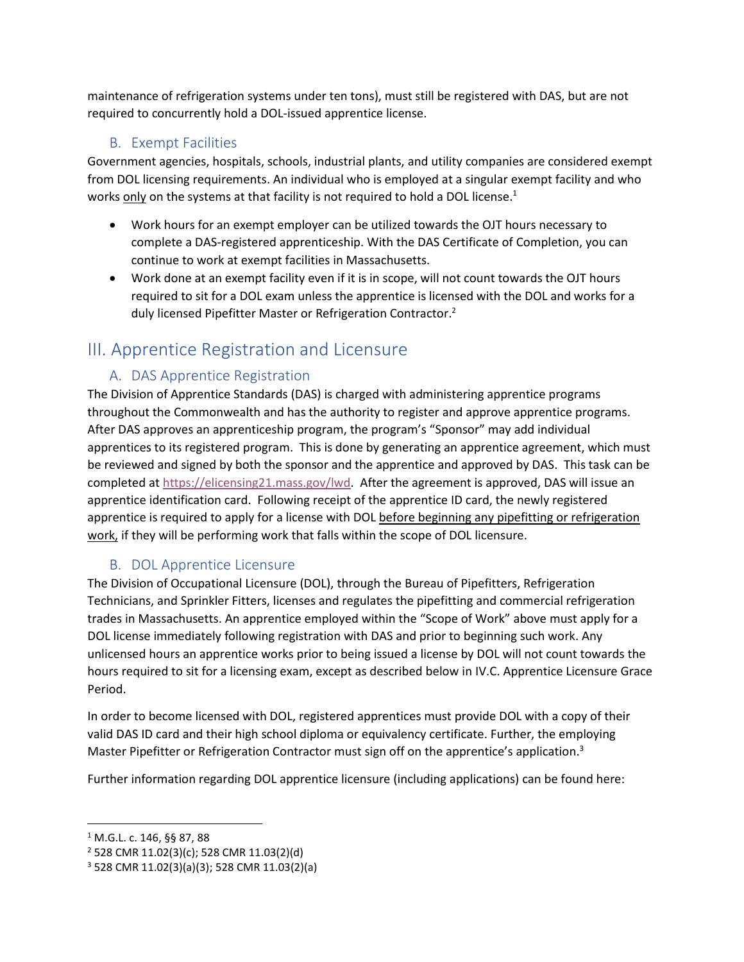maintenance of refrigeration systems under ten tons), must still be registered with DAS, but are not required to concurrently hold a DOL-issued apprentice license.

### B. Exempt Facilities

Government agencies, hospitals, schools, industrial plants, and utility companies are considered exempt from DOL licensing requirements. An individual who is employed at a singular exempt facility and who works only on the systems at that facility is not required to hold a DOL license.<sup>1</sup>

- Work hours for an exempt employer can be utilized towards the OJT hours necessary to complete a DAS-registered apprenticeship. With the DAS Certificate of Completion, you can continue to work at exempt facilities in Massachusetts.
- Work done at an exempt facility even if it is in scope, will not count towards the OJT hours required to sit for a DOL exam unless the apprentice is licensed with the DOL and works for a duly licensed Pipefitter Master or Refrigeration Contractor.<sup>2</sup>

## III. Apprentice Registration and Licensure

## A. DAS Apprentice Registration

The Division of Apprentice Standards (DAS) is charged with administering apprentice programs throughout the Commonwealth and has the authority to register and approve apprentice programs. After DAS approves an apprenticeship program, the program's "Sponsor" may add individual apprentices to its registered program. This is done by generating an apprentice agreement, which must be reviewed and signed by both the sponsor and the apprentice and approved by DAS. This task can be completed at [https://elicensing21.mass.gov/lwd.](https://elicensing21.mass.gov/lwd) After the agreement is approved, DAS will issue an apprentice identification card. Following receipt of the apprentice ID card, the newly registered apprentice is required to apply for a license with DOL before beginning any pipefitting or refrigeration work, if they will be performing work that falls within the scope of DOL licensure.

## B. DOL Apprentice Licensure

The Division of Occupational Licensure (DOL), through the Bureau of Pipefitters, Refrigeration Technicians, and Sprinkler Fitters, licenses and regulates the pipefitting and commercial refrigeration trades in Massachusetts. An apprentice employed within the "Scope of Work" above must apply for a DOL license immediately following registration with DAS and prior to beginning such work. Any unlicensed hours an apprentice works prior to being issued a license by DOL will not count towards the hours required to sit for a licensing exam, except as described below in IV.C. Apprentice Licensure Grace Period.

In order to become licensed with DOL, registered apprentices must provide DOL with a copy of their valid DAS ID card and their high school diploma or equivalency certificate. Further, the employing Master Pipefitter or Refrigeration Contractor must sign off on the apprentice's application.<sup>3</sup>

Further information regarding DOL apprentice licensure (including applications) can be found here:

<sup>1</sup> M.G.L. c. 146, §§ 87, 88

<sup>2</sup> 528 CMR 11.02(3)(c); 528 CMR 11.03(2)(d)

<sup>3</sup> 528 CMR 11.02(3)(a)(3); 528 CMR 11.03(2)(a)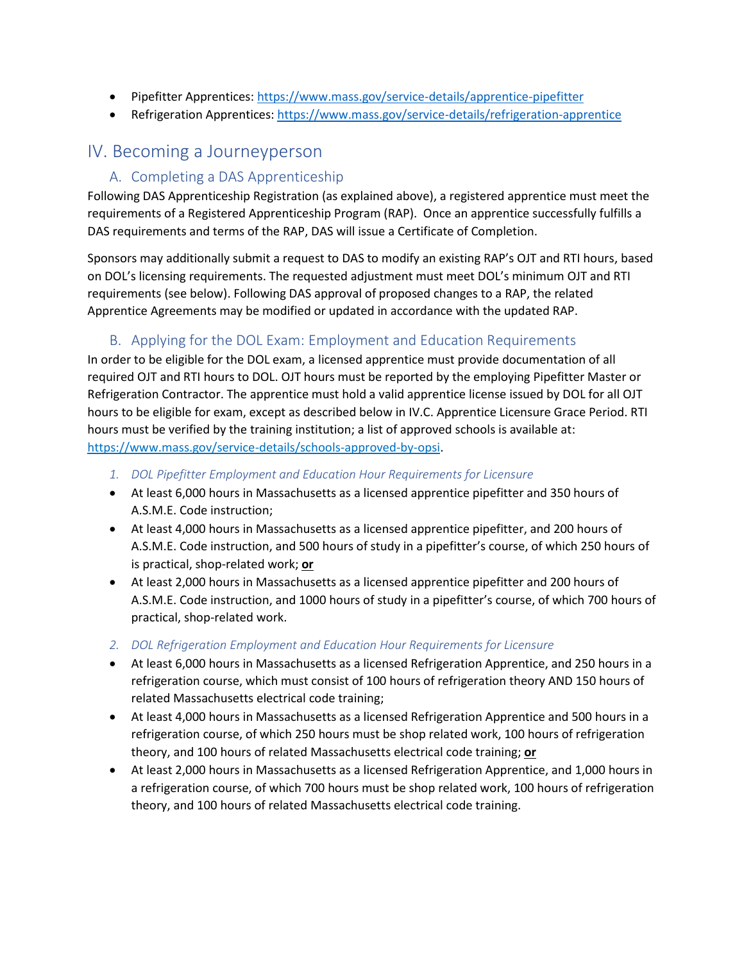- Pipefitter Apprentices[: https://www.mass.gov/service-details/apprentice-pipefitter](https://www.mass.gov/service-details/apprentice-pipefitter)
- Refrigeration Apprentices:<https://www.mass.gov/service-details/refrigeration-apprentice>

## IV. Becoming a Journeyperson

### A. Completing a DAS Apprenticeship

Following DAS Apprenticeship Registration (as explained above), a registered apprentice must meet the requirements of a Registered Apprenticeship Program (RAP). Once an apprentice successfully fulfills a DAS requirements and terms of the RAP, DAS will issue a Certificate of Completion.

Sponsors may additionally submit a request to DAS to modify an existing RAP's OJT and RTI hours, based on DOL's licensing requirements. The requested adjustment must meet DOL's minimum OJT and RTI requirements (see below). Following DAS approval of proposed changes to a RAP, the related Apprentice Agreements may be modified or updated in accordance with the updated RAP.

## B. Applying for the DOL Exam: Employment and Education Requirements

In order to be eligible for the DOL exam, a licensed apprentice must provide documentation of all required OJT and RTI hours to DOL. OJT hours must be reported by the employing Pipefitter Master or Refrigeration Contractor. The apprentice must hold a valid apprentice license issued by DOL for all OJT hours to be eligible for exam, except as described below in IV.C. Apprentice Licensure Grace Period. RTI hours must be verified by the training institution; a list of approved schools is available at: [https://www.mass.gov/service-details/schools-approved-by-opsi.](https://www.mass.gov/service-details/schools-approved-by-opsi)

- *1. DOL Pipefitter Employment and Education Hour Requirements for Licensure*
- At least 6,000 hours in Massachusetts as a licensed apprentice pipefitter and 350 hours of A.S.M.E. Code instruction;
- At least 4,000 hours in Massachusetts as a licensed apprentice pipefitter, and 200 hours of A.S.M.E. Code instruction, and 500 hours of study in a pipefitter's course, of which 250 hours of is practical, shop-related work; **or**
- At least 2,000 hours in Massachusetts as a licensed apprentice pipefitter and 200 hours of A.S.M.E. Code instruction, and 1000 hours of study in a pipefitter's course, of which 700 hours of practical, shop-related work.
- *2. DOL Refrigeration Employment and Education Hour Requirements for Licensure*
- At least 6,000 hours in Massachusetts as a licensed Refrigeration Apprentice, and 250 hours in a refrigeration course, which must consist of 100 hours of refrigeration theory AND 150 hours of related Massachusetts electrical code training;
- At least 4,000 hours in Massachusetts as a licensed Refrigeration Apprentice and 500 hours in a refrigeration course, of which 250 hours must be shop related work, 100 hours of refrigeration theory, and 100 hours of related Massachusetts electrical code training; **or**
- At least 2,000 hours in Massachusetts as a licensed Refrigeration Apprentice, and 1,000 hours in a refrigeration course, of which 700 hours must be shop related work, 100 hours of refrigeration theory, and 100 hours of related Massachusetts electrical code training.